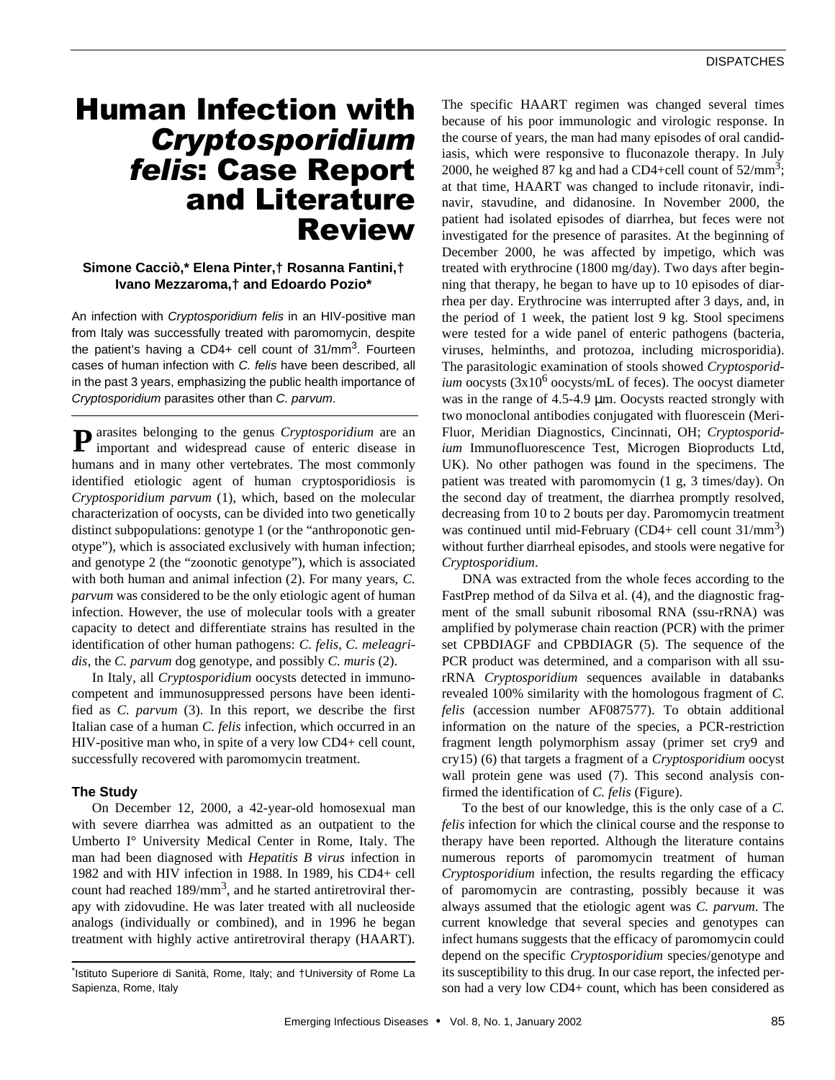# Human Infection with *Cryptosporidium felis*: Case Report and Literature Review

## **Simone Cacciò,\* Elena Pinter,† Rosanna Fantini,† Ivano Mezzaroma,† and Edoardo Pozio\***

An infection with *Cryptosporidium felis* in an HIV-positive man from Italy was successfully treated with paromomycin, despite the patient's having a CD4+ cell count of 31/mm<sup>3</sup>. Fourteen cases of human infection with *C. felis* have been described, all in the past 3 years, emphasizing the public health importance of *Cryptosporidium* parasites other than *C. parvum*.

**P** arasites belonging to the genus *Cryptosporidium* are an important and widespread cause of enteric disease in important and widespread cause of enteric disease in humans and in many other vertebrates. The most commonly identified etiologic agent of human cryptosporidiosis is *Cryptosporidium parvum* (1), which, based on the molecular characterization of oocysts, can be divided into two genetically distinct subpopulations: genotype 1 (or the "anthroponotic genotype"), which is associated exclusively with human infection; and genotype 2 (the "zoonotic genotype"), which is associated with both human and animal infection (2). For many years, *C. parvum* was considered to be the only etiologic agent of human infection. However, the use of molecular tools with a greater capacity to detect and differentiate strains has resulted in the identification of other human pathogens: *C. felis*, *C. meleagridis*, the *C. parvum* dog genotype, and possibly *C. muris* (2).

In Italy, all *Cryptosporidium* oocysts detected in immunocompetent and immunosuppressed persons have been identified as *C. parvum* (3). In this report, we describe the first Italian case of a human *C. felis* infection, which occurred in an HIV-positive man who, in spite of a very low CD4+ cell count, successfully recovered with paromomycin treatment.

#### **The Study**

On December 12, 2000, a 42-year-old homosexual man with severe diarrhea was admitted as an outpatient to the Umberto I° University Medical Center in Rome, Italy. The man had been diagnosed with *Hepatitis B virus* infection in 1982 and with HIV infection in 1988. In 1989, his CD4+ cell count had reached  $189/\text{mm}^3$ , and he started antiretroviral therapy with zidovudine. He was later treated with all nucleoside analogs (individually or combined), and in 1996 he began treatment with highly active antiretroviral therapy (HAART).

The specific HAART regimen was changed several times because of his poor immunologic and virologic response. In the course of years, the man had many episodes of oral candidiasis, which were responsive to fluconazole therapy. In July 2000, he weighed 87 kg and had a CD4+cell count of  $52/\text{mm}^3$ ; at that time, HAART was changed to include ritonavir, indinavir, stavudine, and didanosine. In November 2000, the patient had isolated episodes of diarrhea, but feces were not investigated for the presence of parasites. At the beginning of December 2000, he was affected by impetigo, which was treated with erythrocine (1800 mg/day). Two days after beginning that therapy, he began to have up to 10 episodes of diarrhea per day. Erythrocine was interrupted after 3 days, and, in the period of 1 week, the patient lost 9 kg. Stool specimens were tested for a wide panel of enteric pathogens (bacteria, viruses, helminths, and protozoa, including microsporidia). The parasitologic examination of stools showed *Cryptosporidium* oocysts (3x10<sup>6</sup> oocysts/mL of feces). The oocyst diameter was in the range of 4.5-4.9 μm. Oocysts reacted strongly with two monoclonal antibodies conjugated with fluorescein (Meri-Fluor, Meridian Diagnostics, Cincinnati, OH; *Cryptosporidium* Immunofluorescence Test, Microgen Bioproducts Ltd, UK). No other pathogen was found in the specimens. The patient was treated with paromomycin (1 g, 3 times/day). On the second day of treatment, the diarrhea promptly resolved, decreasing from 10 to 2 bouts per day. Paromomycin treatment was continued until mid-February (CD4+ cell count 31/mm<sup>3</sup>) without further diarrheal episodes, and stools were negative for *Cryptosporidium*.

DNA was extracted from the whole feces according to the FastPrep method of da Silva et al. (4), and the diagnostic fragment of the small subunit ribosomal RNA (ssu-rRNA) was amplified by polymerase chain reaction (PCR) with the primer set CPBDIAGF and CPBDIAGR (5). The sequence of the PCR product was determined, and a comparison with all ssurRNA *Cryptosporidium* sequences available in databanks revealed 100% similarity with the homologous fragment of *C. felis* (accession number AF087577). To obtain additional information on the nature of the species, a PCR-restriction fragment length polymorphism assay (primer set cry9 and cry15) (6) that targets a fragment of a *Cryptosporidium* oocyst wall protein gene was used (7). This second analysis confirmed the identification of *C. felis* (Figure).

To the best of our knowledge, this is the only case of a *C. felis* infection for which the clinical course and the response to therapy have been reported. Although the literature contains numerous reports of paromomycin treatment of human *Cryptosporidium* infection, the results regarding the efficacy of paromomycin are contrasting, possibly because it was always assumed that the etiologic agent was *C. parvum*. The current knowledge that several species and genotypes can infect humans suggests that the efficacy of paromomycin could depend on the specific *Cryptosporidium* species/genotype and its susceptibility to this drug. In our case report, the infected person had a very low CD4+ count, which has been considered as

<sup>\*</sup> Istituto Superiore di Sanità, Rome, Italy; and †University of Rome La Sapienza, Rome, Italy